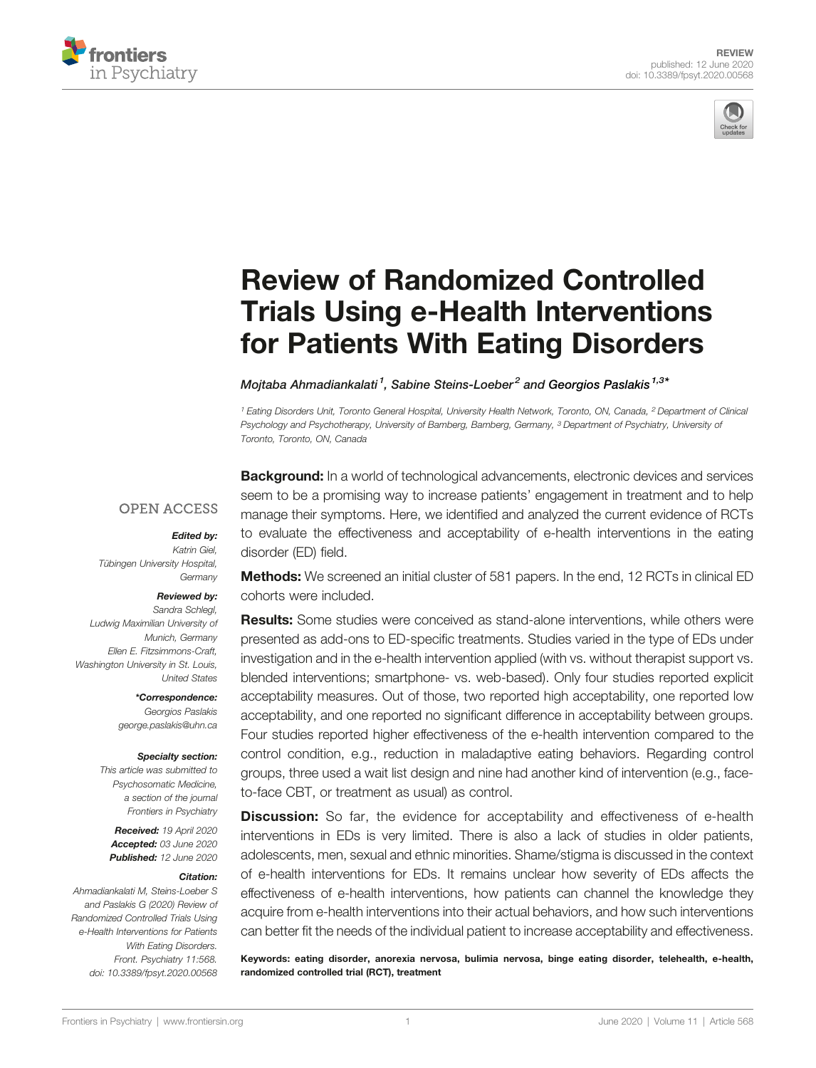



# [Review of Randomized Controlled](https://www.frontiersin.org/articles/10.3389/fpsyt.2020.00568/full) [Trials Using e-Health Interventions](https://www.frontiersin.org/articles/10.3389/fpsyt.2020.00568/full) [for Patients With Eating Disorders](https://www.frontiersin.org/articles/10.3389/fpsyt.2020.00568/full)

Mojtaba Ahmadiankalati<sup>1</sup>, Sabine Steins-Loeber<sup>2</sup> and [Georgios Paslakis](https://loop.frontiersin.org/people/628629)<sup>1,3\*</sup>

<sup>1</sup> Eating Disorders Unit, Toronto General Hospital, University Health Network, Toronto, ON, Canada, <sup>2</sup> Department of Clinical Psychology and Psychotherapy, University of Bamberg, Bamberg, Germany, <sup>3</sup> Department of Psychiatry, University of Toronto, Toronto, ON, Canada

#### **OPEN ACCESS**

#### Edited by:

Katrin Giel, Tübingen University Hospital, **Germany** 

#### Reviewed by:

Sandra Schlegl, Ludwig Maximilian University of Munich, Germany Ellen E. Fitzsimmons-Craft, Washington University in St. Louis, United States

> \*Correspondence: Georgios Paslakis [george.paslakis@uhn.ca](mailto:george.paslakis@uhn.ca)

#### Specialty section:

This article was submitted to Psychosomatic Medicine, a section of the journal Frontiers in Psychiatry

Received: 19 April 2020 Accepted: 03 June 2020 Published: 12 June 2020

#### Citation:

Ahmadiankalati M, Steins-Loeber S and Paslakis G (2020) Review of Randomized Controlled Trials Using e-Health Interventions for Patients With Eating Disorders. Front. Psychiatry 11:568. [doi: 10.3389/fpsyt.2020.00568](https://doi.org/10.3389/fpsyt.2020.00568) **Background:** In a world of technological advancements, electronic devices and services seem to be a promising way to increase patients' engagement in treatment and to help manage their symptoms. Here, we identified and analyzed the current evidence of RCTs to evaluate the effectiveness and acceptability of e-health interventions in the eating disorder (ED) field.

**Methods:** We screened an initial cluster of 581 papers. In the end, 12 RCTs in clinical ED cohorts were included.

**Results:** Some studies were conceived as stand-alone interventions, while others were presented as add-ons to ED-specific treatments. Studies varied in the type of EDs under investigation and in the e-health intervention applied (with vs. without therapist support vs. blended interventions; smartphone- vs. web-based). Only four studies reported explicit acceptability measures. Out of those, two reported high acceptability, one reported low acceptability, and one reported no significant difference in acceptability between groups. Four studies reported higher effectiveness of the e-health intervention compared to the control condition, e.g., reduction in maladaptive eating behaviors. Regarding control groups, three used a wait list design and nine had another kind of intervention (e.g., faceto-face CBT, or treatment as usual) as control.

**Discussion:** So far, the evidence for acceptability and effectiveness of e-health interventions in EDs is very limited. There is also a lack of studies in older patients, adolescents, men, sexual and ethnic minorities. Shame/stigma is discussed in the context of e-health interventions for EDs. It remains unclear how severity of EDs affects the effectiveness of e-health interventions, how patients can channel the knowledge they acquire from e-health interventions into their actual behaviors, and how such interventions can better fit the needs of the individual patient to increase acceptability and effectiveness.

Keywords: eating disorder, anorexia nervosa, bulimia nervosa, binge eating disorder, telehealth, e-health, randomized controlled trial (RCT), treatment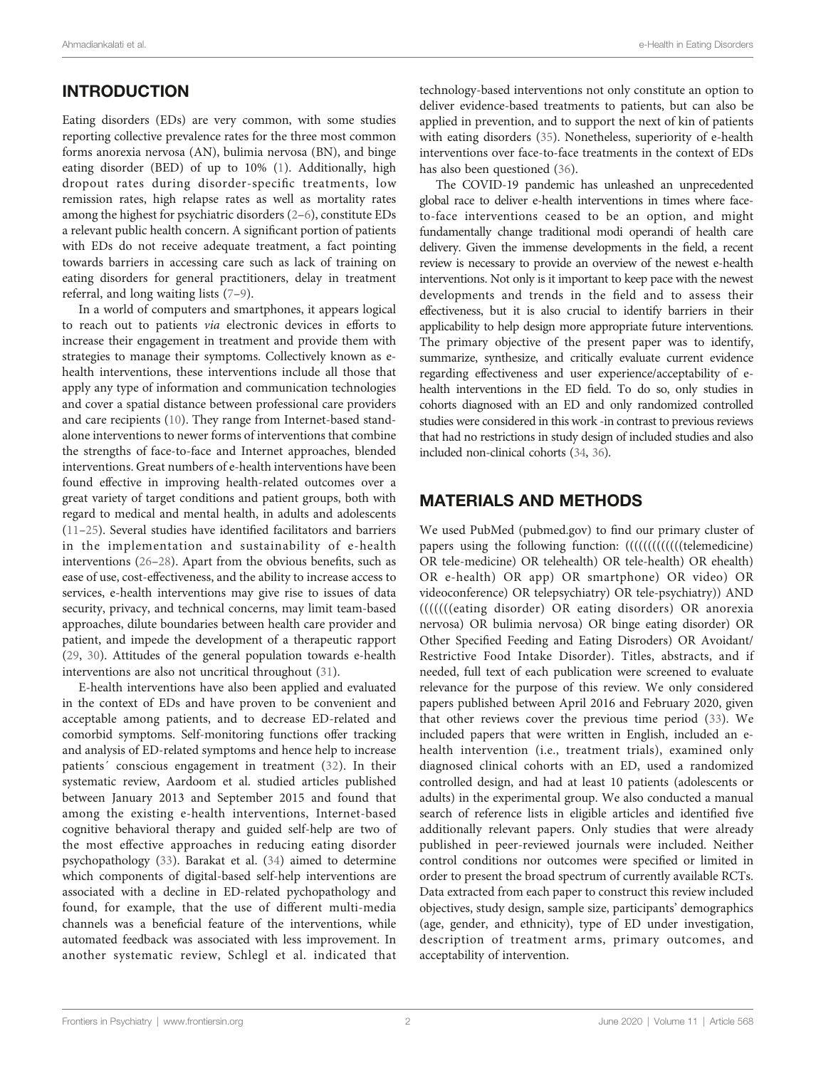# INTRODUCTION

Eating disorders (EDs) are very common, with some studies reporting collective prevalence rates for the three most common forms anorexia nervosa (AN), bulimia nervosa (BN), and binge eating disorder (BED) of up to 10% ([1](#page-10-0)). Additionally, high dropout rates during disorder-specific treatments, low remission rates, high relapse rates as well as mortality rates among the highest for psychiatric disorders ([2](#page-10-0)–[6\)](#page-10-0), constitute EDs a relevant public health concern. A significant portion of patients with EDs do not receive adequate treatment, a fact pointing towards barriers in accessing care such as lack of training on eating disorders for general practitioners, delay in treatment referral, and long waiting lists ([7](#page-10-0)–[9\)](#page-10-0).

In a world of computers and smartphones, it appears logical to reach out to patients via electronic devices in efforts to increase their engagement in treatment and provide them with strategies to manage their symptoms. Collectively known as ehealth interventions, these interventions include all those that apply any type of information and communication technologies and cover a spatial distance between professional care providers and care recipients [\(10](#page-10-0)). They range from Internet-based standalone interventions to newer forms of interventions that combine the strengths of face-to-face and Internet approaches, blended interventions. Great numbers of e-health interventions have been found effective in improving health-related outcomes over a great variety of target conditions and patient groups, both with regard to medical and mental health, in adults and adolescents ([11](#page-10-0)–[25\)](#page-10-0). Several studies have identified facilitators and barriers in the implementation and sustainability of e-health interventions ([26](#page-10-0)–[28\)](#page-10-0). Apart from the obvious benefits, such as ease of use, cost-effectiveness, and the ability to increase access to services, e-health interventions may give rise to issues of data security, privacy, and technical concerns, may limit team-based approaches, dilute boundaries between health care provider and patient, and impede the development of a therapeutic rapport ([29,](#page-10-0) [30\)](#page-10-0). Attitudes of the general population towards e-health interventions are also not uncritical throughout ([31\)](#page-10-0).

E-health interventions have also been applied and evaluated in the context of EDs and have proven to be convenient and acceptable among patients, and to decrease ED-related and comorbid symptoms. Self-monitoring functions offer tracking and analysis of ED-related symptoms and hence help to increase patients' conscious engagement in treatment ([32](#page-10-0)). In their systematic review, Aardoom et al. studied articles published between January 2013 and September 2015 and found that among the existing e-health interventions, Internet-based cognitive behavioral therapy and guided self-help are two of the most effective approaches in reducing eating disorder psychopathology ([33\)](#page-10-0). Barakat et al. [\(34](#page-10-0)) aimed to determine which components of digital-based self-help interventions are associated with a decline in ED-related pychopathology and found, for example, that the use of different multi-media channels was a beneficial feature of the interventions, while automated feedback was associated with less improvement. In another systematic review, Schlegl et al. indicated that

technology-based interventions not only constitute an option to deliver evidence-based treatments to patients, but can also be applied in prevention, and to support the next of kin of patients with eating disorders [\(35](#page-10-0)). Nonetheless, superiority of e-health interventions over face-to-face treatments in the context of EDs has also been questioned [\(36\)](#page-10-0).

The COVID-19 pandemic has unleashed an unprecedented global race to deliver e-health interventions in times where faceto-face interventions ceased to be an option, and might fundamentally change traditional modi operandi of health care delivery. Given the immense developments in the field, a recent review is necessary to provide an overview of the newest e-health interventions. Not only is it important to keep pace with the newest developments and trends in the field and to assess their effectiveness, but it is also crucial to identify barriers in their applicability to help design more appropriate future interventions. The primary objective of the present paper was to identify, summarize, synthesize, and critically evaluate current evidence regarding effectiveness and user experience/acceptability of ehealth interventions in the ED field. To do so, only studies in cohorts diagnosed with an ED and only randomized controlled studies were considered in this work -in contrast to previous reviews that had no restrictions in study design of included studies and also included non-clinical cohorts ([34](#page-10-0), [36\)](#page-10-0).

### MATERIALS AND METHODS

We used PubMed (pubmed.gov) to find our primary cluster of papers using the following function: (((((((((((((telemedicine)) OR tele-medicine) OR telehealth) OR tele-health) OR ehealth) OR e-health) OR app) OR smartphone) OR video) OR videoconference) OR telepsychiatry) OR tele-psychiatry)) AND (((((((eating disorder) OR eating disorders) OR anorexia nervosa) OR bulimia nervosa) OR binge eating disorder) OR Other Specified Feeding and Eating Disroders) OR Avoidant/ Restrictive Food Intake Disorder). Titles, abstracts, and if needed, full text of each publication were screened to evaluate relevance for the purpose of this review. We only considered papers published between April 2016 and February 2020, given that other reviews cover the previous time period [\(33\)](#page-10-0). We included papers that were written in English, included an ehealth intervention (i.e., treatment trials), examined only diagnosed clinical cohorts with an ED, used a randomized controlled design, and had at least 10 patients (adolescents or adults) in the experimental group. We also conducted a manual search of reference lists in eligible articles and identified five additionally relevant papers. Only studies that were already published in peer-reviewed journals were included. Neither control conditions nor outcomes were specified or limited in order to present the broad spectrum of currently available RCTs. Data extracted from each paper to construct this review included objectives, study design, sample size, participants' demographics (age, gender, and ethnicity), type of ED under investigation, description of treatment arms, primary outcomes, and acceptability of intervention.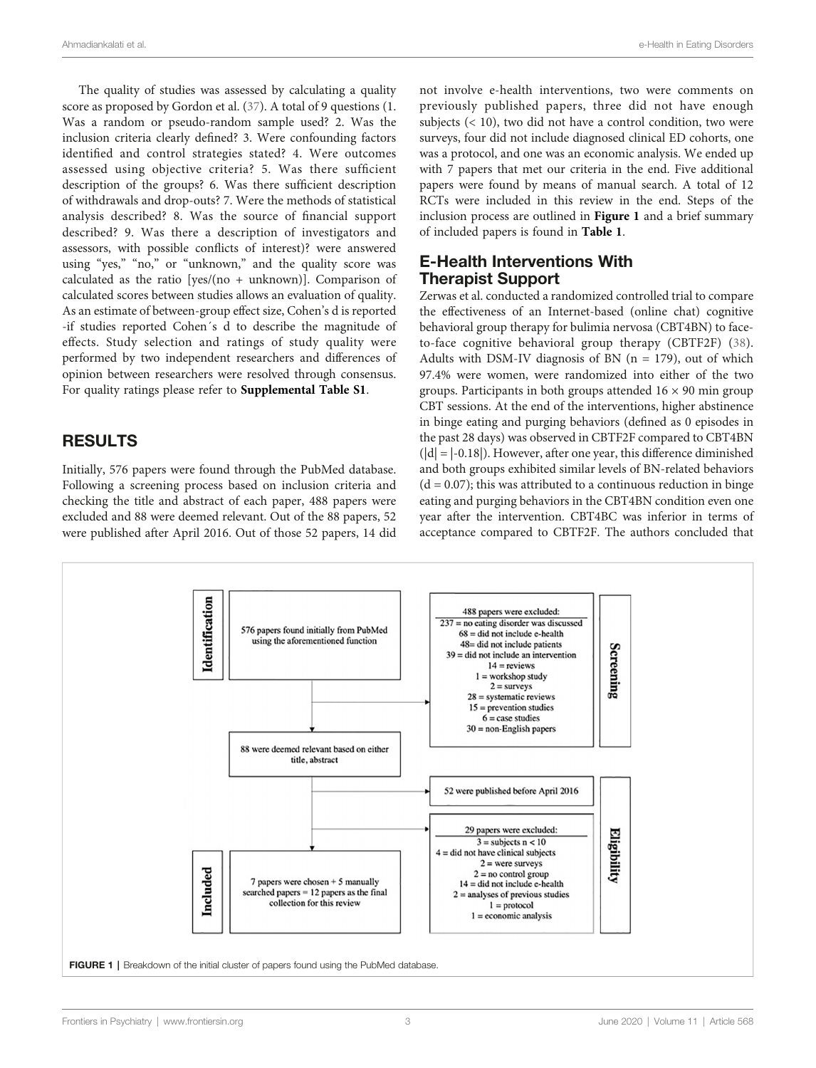The quality of studies was assessed by calculating a quality score as proposed by Gordon et al. [\(37\)](#page-10-0). A total of 9 questions (1. Was a random or pseudo-random sample used? 2. Was the inclusion criteria clearly defined? 3. Were confounding factors identified and control strategies stated? 4. Were outcomes assessed using objective criteria? 5. Was there sufficient description of the groups? 6. Was there sufficient description of withdrawals and drop-outs? 7. Were the methods of statistical analysis described? 8. Was the source of financial support described? 9. Was there a description of investigators and assessors, with possible conflicts of interest)? were answered using "yes," "no," or "unknown," and the quality score was calculated as the ratio [yes/(no + unknown)]. Comparison of calculated scores between studies allows an evaluation of quality. As an estimate of between-group effect size, Cohen's d is reported -if studies reported Cohen´s d to describe the magnitude of effects. Study selection and ratings of study quality were performed by two independent researchers and differences of opinion between researchers were resolved through consensus. For quality ratings please refer to [Supplemental Table S1](#page-9-0).

## RESULTS

Initially, 576 papers were found through the PubMed database. Following a screening process based on inclusion criteria and checking the title and abstract of each paper, 488 papers were excluded and 88 were deemed relevant. Out of the 88 papers, 52 were published after April 2016. Out of those 52 papers, 14 did not involve e-health interventions, two were comments on previously published papers, three did not have enough subjects  $( $10$ ), two did not have a control condition, two were$ surveys, four did not include diagnosed clinical ED cohorts, one was a protocol, and one was an economic analysis. We ended up with 7 papers that met our criteria in the end. Five additional papers were found by means of manual search. A total of 12 RCTs were included in this review in the end. Steps of the inclusion process are outlined in [Figur](#page-3-0)e 1 and a brief summary of included papers is found in Table 1.

#### E-Health Interventions With Therapist Support

Zerwas et al. conducted a randomized controlled trial to compare the effectiveness of an Internet-based (online chat) cognitive behavioral group therapy for bulimia nervosa (CBT4BN) to faceto-face cognitive behavioral group therapy (CBTF2F) ([38](#page-10-0)). Adults with DSM-IV diagnosis of BN  $(n = 179)$ , out of which 97.4% were women, were randomized into either of the two groups. Participants in both groups attended  $16 \times 90$  min group CBT sessions. At the end of the interventions, higher abstinence in binge eating and purging behaviors (defined as 0 episodes in the past 28 days) was observed in CBTF2F compared to CBT4BN  $(|d| = |-0.18|)$ . However, after one year, this difference diminished and both groups exhibited similar levels of BN-related behaviors  $(d = 0.07)$ ; this was attributed to a continuous reduction in binge eating and purging behaviors in the CBT4BN condition even one year after the intervention. CBT4BC was inferior in terms of acceptance compared to CBTF2F. The authors concluded that

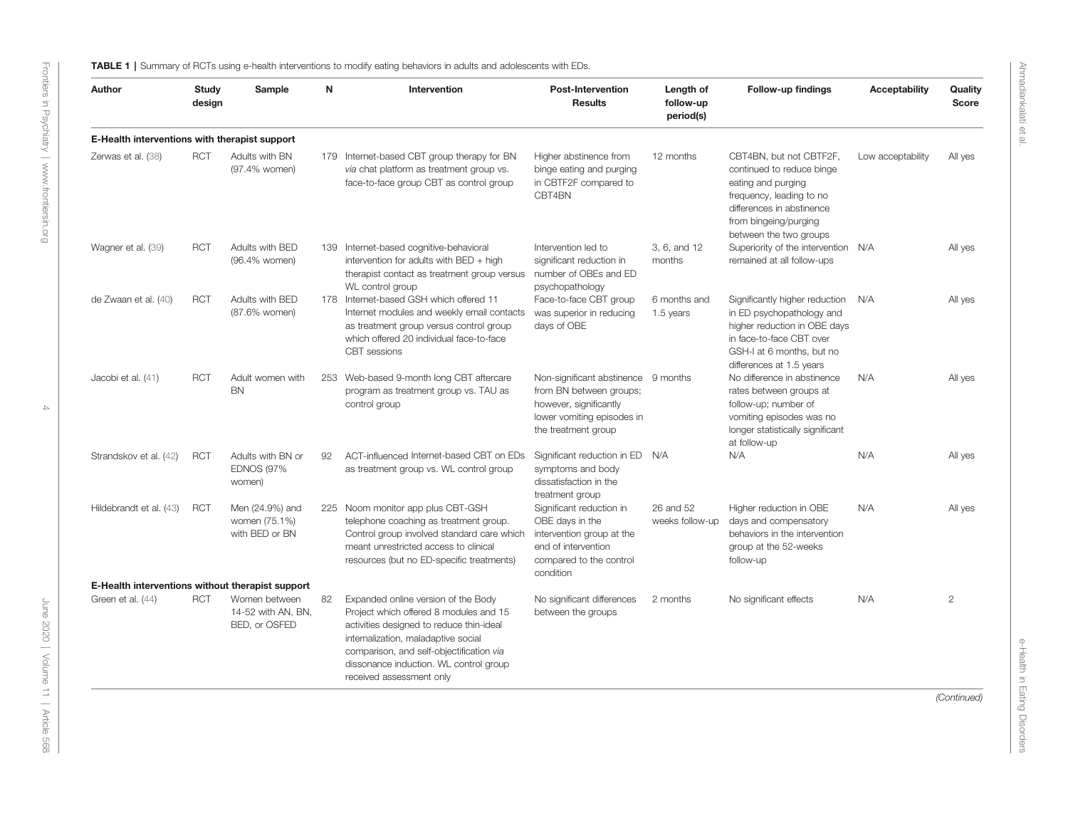<span id="page-3-0"></span>

| Author                                           | Study<br>design | Sample                                               | N   | Intervention                                                                                                                                                                                                                                                                       | <b>Post-Intervention</b><br><b>Results</b>                                                                                                    | Length of<br>follow-up<br>period(s) | Follow-up findings                                                                                                                                                                     | <b>Acceptability</b> | Quality<br><b>Score</b> |
|--------------------------------------------------|-----------------|------------------------------------------------------|-----|------------------------------------------------------------------------------------------------------------------------------------------------------------------------------------------------------------------------------------------------------------------------------------|-----------------------------------------------------------------------------------------------------------------------------------------------|-------------------------------------|----------------------------------------------------------------------------------------------------------------------------------------------------------------------------------------|----------------------|-------------------------|
| E-Health interventions with therapist support    |                 |                                                      |     |                                                                                                                                                                                                                                                                                    |                                                                                                                                               |                                     |                                                                                                                                                                                        |                      |                         |
| Zerwas et al. (38)                               | <b>RCT</b>      | Adults with BN<br>(97.4% women)                      |     | 179 Internet-based CBT group therapy for BN<br>via chat platform as treatment group vs.<br>face-to-face group CBT as control group                                                                                                                                                 | Higher abstinence from<br>binge eating and purging<br>in CBTF2F compared to<br>CBT4BN                                                         | 12 months                           | CBT4BN, but not CBTF2F,<br>continued to reduce binge<br>eating and purging<br>frequency, leading to no<br>differences in abstinence<br>from bingeing/purging<br>between the two groups | Low acceptability    | All yes                 |
| Wagner et al. (39)                               | <b>RCT</b>      | Adults with BED<br>(96.4% women)                     | 139 | Internet-based cognitive-behavioral<br>intervention for adults with BED + high<br>therapist contact as treatment group versus<br>WL control group                                                                                                                                  | Intervention led to<br>significant reduction in<br>number of OBEs and ED<br>psychopathology                                                   | 3, 6, and 12<br>months              | Superiority of the intervention N/A<br>remained at all follow-ups                                                                                                                      |                      | All yes                 |
| de Zwaan et al. (40)                             | <b>RCT</b>      | Adults with BED<br>(87.6% women)                     |     | 178 Internet-based GSH which offered 11<br>Internet modules and weekly email contacts<br>as treatment group versus control group<br>which offered 20 individual face-to-face<br>CBT sessions                                                                                       | Face-to-face CBT group<br>was superior in reducing<br>days of OBE                                                                             | 6 months and<br>1.5 years           | Significantly higher reduction<br>in ED psychopathology and<br>higher reduction in OBE days<br>in face-to-face CBT over<br>GSH-I at 6 months, but no<br>differences at 1.5 years       | N/A                  | All yes                 |
| Jacobi et al. (41)                               | <b>RCT</b>      | Adult women with<br><b>BN</b>                        |     | 253 Web-based 9-month long CBT aftercare<br>program as treatment group vs. TAU as<br>control group                                                                                                                                                                                 | Non-significant abstinence 9 months<br>from BN between groups;<br>however, significantly<br>lower vomiting episodes in<br>the treatment group |                                     | No difference in abstinence<br>rates between groups at<br>follow-up; number of<br>vomiting episodes was no<br>longer statistically significant<br>at follow-up                         | N/A                  | All yes                 |
| Strandskov et al. (42)                           | <b>RCT</b>      | Adults with BN or<br><b>EDNOS (97%)</b><br>women)    | 92  | ACT-influenced Internet-based CBT on EDs<br>as treatment group vs. WL control group                                                                                                                                                                                                | Significant reduction in ED N/A<br>symptoms and body<br>dissatisfaction in the<br>treatment group                                             |                                     | N/A                                                                                                                                                                                    | N/A                  | All yes                 |
| Hildebrandt et al. (43)                          | <b>RCT</b>      | Men (24.9%) and<br>women (75.1%)<br>with BED or BN   |     | 225 Noom monitor app plus CBT-GSH<br>telephone coaching as treatment group.<br>Control group involved standard care which<br>meant unrestricted access to clinical<br>resources (but no ED-specific treatments)                                                                    | Significant reduction in<br>OBE days in the<br>intervention group at the<br>end of intervention<br>compared to the control<br>condition       | 26 and 52<br>weeks follow-up        | Higher reduction in OBE<br>days and compensatory<br>behaviors in the intervention<br>group at the 52-weeks<br>follow-up                                                                | N/A                  | All yes                 |
| E-Health interventions without therapist support |                 |                                                      |     |                                                                                                                                                                                                                                                                                    |                                                                                                                                               |                                     |                                                                                                                                                                                        |                      |                         |
| Green et al. (44)                                | <b>RCT</b>      | Women between<br>14-52 with AN, BN.<br>BED, or OSFED | 82  | Expanded online version of the Body<br>Project which offered 8 modules and 15<br>activities designed to reduce thin-ideal<br>internalization, maladaptive social<br>comparison, and self-objectification via<br>dissonance induction. WL control group<br>received assessment only | No significant differences<br>between the groups                                                                                              | 2 months                            | No significant effects                                                                                                                                                                 | N/A                  | $\overline{2}$          |

(Continued)

e-Health in Eating

Disorders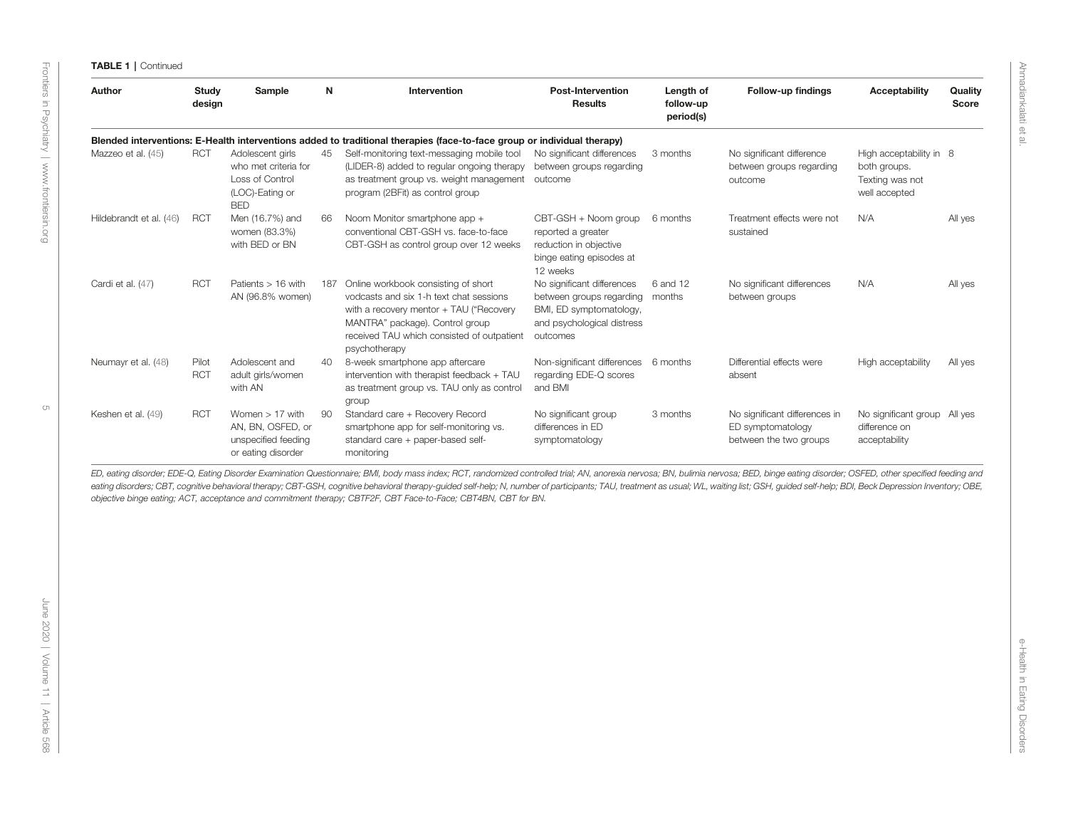#### TABLE 1 | Continued

| Author                  | Study<br>design     | Sample                                                                                       | N   | Intervention                                                                                                                                                                                                                | <b>Post-Intervention</b><br><b>Results</b>                                                                                  | Length of<br>follow-up<br>period(s) | Follow-up findings                                                           | <b>Acceptability</b>                                                        | Quality<br>Score |
|-------------------------|---------------------|----------------------------------------------------------------------------------------------|-----|-----------------------------------------------------------------------------------------------------------------------------------------------------------------------------------------------------------------------------|-----------------------------------------------------------------------------------------------------------------------------|-------------------------------------|------------------------------------------------------------------------------|-----------------------------------------------------------------------------|------------------|
|                         |                     |                                                                                              |     | Blended interventions: E-Health interventions added to traditional therapies (face-to-face group or individual therapy)                                                                                                     |                                                                                                                             |                                     |                                                                              |                                                                             |                  |
| Mazzeo et al. (45)      | <b>RCT</b>          | Adolescent girls<br>who met criteria for<br>Loss of Control<br>(LOC)-Eating or<br><b>BED</b> | 45  | Self-monitoring text-messaging mobile tool<br>(LIDER-8) added to regular ongoing therapy<br>as treatment group vs. weight management<br>program (2BFit) as control group                                                    | No significant differences<br>between groups regarding<br>outcome                                                           | 3 months                            | No significant difference<br>between groups regarding<br>outcome             | High acceptability in 8<br>both groups.<br>Texting was not<br>well accepted |                  |
| Hildebrandt et al. (46) | <b>RCT</b>          | Men (16.7%) and<br>women (83.3%)<br>with BED or BN                                           | 66  | Noom Monitor smartphone app +<br>conventional CBT-GSH vs. face-to-face<br>CBT-GSH as control group over 12 weeks                                                                                                            | CBT-GSH + Noom group<br>reported a greater<br>reduction in objective<br>binge eating episodes at<br>12 weeks                | 6 months                            | Treatment effects were not<br>sustained                                      | N/A                                                                         | All yes          |
| Cardi et al. (47)       | <b>RCT</b>          | Patients $> 16$ with<br>AN (96.8% women)                                                     | 187 | Online workbook consisting of short<br>vodcasts and six 1-h text chat sessions<br>with a recovery mentor + TAU ("Recovery<br>MANTRA" package). Control group<br>received TAU which consisted of outpatient<br>psychotherapy | No significant differences<br>between groups regarding<br>BMI, ED symptomatology,<br>and psychological distress<br>outcomes | 6 and 12<br>months                  | No significant differences<br>between groups                                 | N/A                                                                         | All yes          |
| Neumayr et al. (48)     | Pilot<br><b>RCT</b> | Adolescent and<br>adult girls/women<br>with AN                                               | 40  | 8-week smartphone app aftercare<br>intervention with therapist feedback + TAU<br>as treatment group vs. TAU only as control<br>group                                                                                        | Non-significant differences 6 months<br>regarding EDE-Q scores<br>and BMI                                                   |                                     | Differential effects were<br>absent                                          | High acceptability                                                          | All yes          |
| Keshen et al. (49)      | <b>RCT</b>          | Women $> 17$ with<br>AN, BN, OSFED, or<br>unspecified feeding<br>or eating disorder          | 90  | Standard care + Recovery Record<br>smartphone app for self-monitoring vs.<br>standard care + paper-based self-<br>monitoring                                                                                                | No significant group<br>differences in ED<br>symptomatology                                                                 | 3 months                            | No significant differences in<br>ED symptomatology<br>between the two groups | No significant group<br>difference on<br>acceptability                      | All ves          |

ED, eating disorder; EDE-Q, Eating Disorder Examination Questionnaire; BMI, body mass index; RCT, randomized controlled trial; AN, anorexia nervosa; BN, bulimia nervosa; BED, binge eating disorder; OSFED, other specified f eating disorders; CBT, cognitive behavioral therapy; CBT-GSH, cognitive behavioral therapy-guided self-help; N, number of participants; TAU, treatment as usual; WL, waiting list; GSH, guided self-help; BDI, Beck Depression objective binge eating; ACT, acceptance and commitment therapy; CBTF2F, CBT Face-to-Face; CBT4BN, CBT for BN.

Ahmadiankalati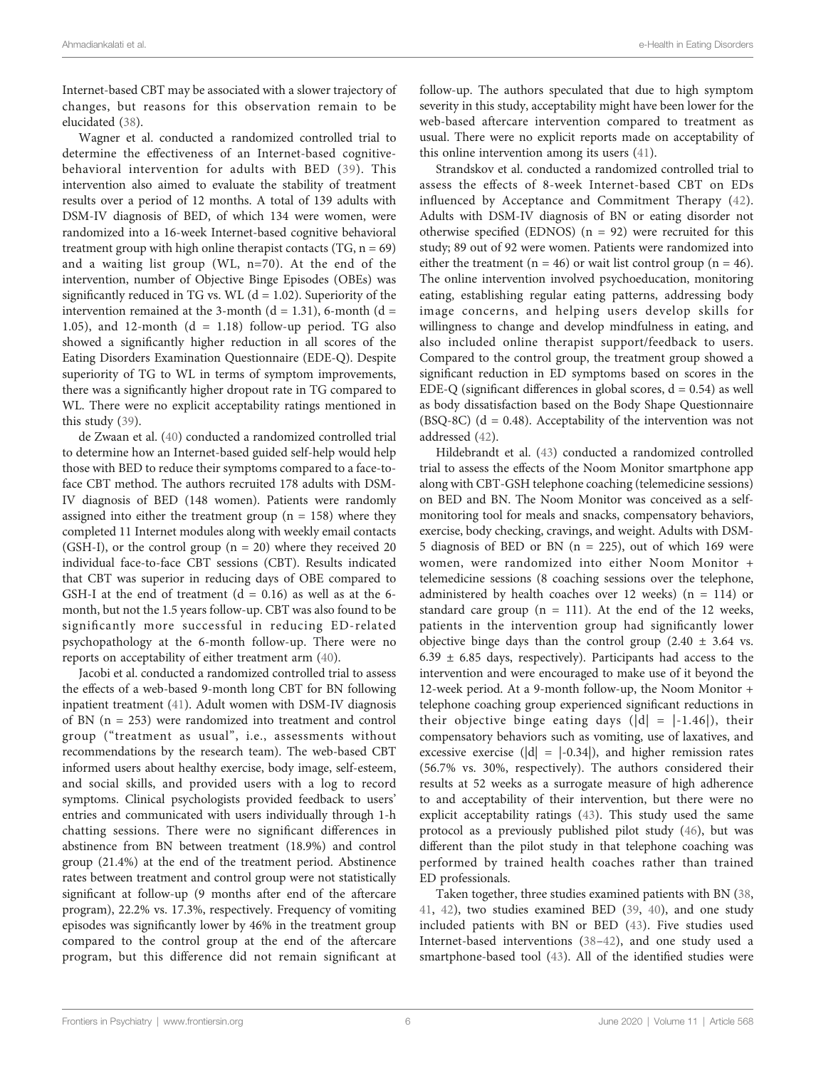Internet-based CBT may be associated with a slower trajectory of changes, but reasons for this observation remain to be elucidated [\(38](#page-10-0)).

Wagner et al. conducted a randomized controlled trial to determine the effectiveness of an Internet-based cognitivebehavioral intervention for adults with BED ([39\)](#page-10-0). This intervention also aimed to evaluate the stability of treatment results over a period of 12 months. A total of 139 adults with DSM-IV diagnosis of BED, of which 134 were women, were randomized into a 16-week Internet-based cognitive behavioral treatment group with high online therapist contacts  $(TG, n = 69)$ and a waiting list group (WL, n=70). At the end of the intervention, number of Objective Binge Episodes (OBEs) was significantly reduced in TG vs. WL  $(d = 1.02)$ . Superiority of the intervention remained at the 3-month  $(d = 1.31)$ , 6-month  $(d = 1.31)$ 1.05), and 12-month  $(d = 1.18)$  follow-up period. TG also showed a significantly higher reduction in all scores of the Eating Disorders Examination Questionnaire (EDE-Q). Despite superiority of TG to WL in terms of symptom improvements, there was a significantly higher dropout rate in TG compared to WL. There were no explicit acceptability ratings mentioned in this study ([39\)](#page-10-0).

de Zwaan et al. ([40\)](#page-10-0) conducted a randomized controlled trial to determine how an Internet-based guided self-help would help those with BED to reduce their symptoms compared to a face-toface CBT method. The authors recruited 178 adults with DSM-IV diagnosis of BED (148 women). Patients were randomly assigned into either the treatment group ( $n = 158$ ) where they completed 11 Internet modules along with weekly email contacts (GSH-I), or the control group  $(n = 20)$  where they received 20 individual face-to-face CBT sessions (CBT). Results indicated that CBT was superior in reducing days of OBE compared to GSH-I at the end of treatment  $(d = 0.16)$  as well as at the 6month, but not the 1.5 years follow-up. CBT was also found to be significantly more successful in reducing ED-related psychopathology at the 6-month follow-up. There were no reports on acceptability of either treatment arm [\(40](#page-10-0)).

Jacobi et al. conducted a randomized controlled trial to assess the effects of a web-based 9-month long CBT for BN following inpatient treatment [\(41\)](#page-11-0). Adult women with DSM-IV diagnosis of BN (n = 253) were randomized into treatment and control group ("treatment as usual", i.e., assessments without recommendations by the research team). The web-based CBT informed users about healthy exercise, body image, self-esteem, and social skills, and provided users with a log to record symptoms. Clinical psychologists provided feedback to users' entries and communicated with users individually through 1-h chatting sessions. There were no significant differences in abstinence from BN between treatment (18.9%) and control group (21.4%) at the end of the treatment period. Abstinence rates between treatment and control group were not statistically significant at follow-up (9 months after end of the aftercare program), 22.2% vs. 17.3%, respectively. Frequency of vomiting episodes was significantly lower by 46% in the treatment group compared to the control group at the end of the aftercare program, but this difference did not remain significant at

follow-up. The authors speculated that due to high symptom severity in this study, acceptability might have been lower for the web-based aftercare intervention compared to treatment as usual. There were no explicit reports made on acceptability of this online intervention among its users [\(41](#page-11-0)).

Strandskov et al. conducted a randomized controlled trial to assess the effects of 8-week Internet-based CBT on EDs influenced by Acceptance and Commitment Therapy ([42](#page-11-0)). Adults with DSM-IV diagnosis of BN or eating disorder not otherwise specified (EDNOS)  $(n = 92)$  were recruited for this study; 89 out of 92 were women. Patients were randomized into either the treatment ( $n = 46$ ) or wait list control group ( $n = 46$ ). The online intervention involved psychoeducation, monitoring eating, establishing regular eating patterns, addressing body image concerns, and helping users develop skills for willingness to change and develop mindfulness in eating, and also included online therapist support/feedback to users. Compared to the control group, the treatment group showed a significant reduction in ED symptoms based on scores in the EDE-Q (significant differences in global scores,  $d = 0.54$ ) as well as body dissatisfaction based on the Body Shape Questionnaire (BSQ-8C) ( $d = 0.48$ ). Acceptability of the intervention was not addressed ([42\)](#page-11-0).

Hildebrandt et al. ([43\)](#page-11-0) conducted a randomized controlled trial to assess the effects of the Noom Monitor smartphone app along with CBT-GSH telephone coaching (telemedicine sessions) on BED and BN. The Noom Monitor was conceived as a selfmonitoring tool for meals and snacks, compensatory behaviors, exercise, body checking, cravings, and weight. Adults with DSM-5 diagnosis of BED or BN (n = 225), out of which 169 were women, were randomized into either Noom Monitor + telemedicine sessions (8 coaching sessions over the telephone, administered by health coaches over 12 weeks)  $(n = 114)$  or standard care group ( $n = 111$ ). At the end of the 12 weeks, patients in the intervention group had significantly lower objective binge days than the control group  $(2.40 \pm 3.64 \text{ vs.})$  $6.39 \pm 6.85$  days, respectively). Participants had access to the intervention and were encouraged to make use of it beyond the 12-week period. At a 9-month follow-up, the Noom Monitor + telephone coaching group experienced significant reductions in their objective binge eating days  $(|d| = |-1.46|)$ , their compensatory behaviors such as vomiting, use of laxatives, and excessive exercise ( $|d| = |-0.34|$ ), and higher remission rates (56.7% vs. 30%, respectively). The authors considered their results at 52 weeks as a surrogate measure of high adherence to and acceptability of their intervention, but there were no explicit acceptability ratings [\(43](#page-11-0)). This study used the same protocol as a previously published pilot study ([46\)](#page-11-0), but was different than the pilot study in that telephone coaching was performed by trained health coaches rather than trained ED professionals.

Taken together, three studies examined patients with BN ([38,](#page-10-0) [41](#page-11-0), [42\)](#page-11-0), two studies examined BED [\(39](#page-10-0), [40](#page-10-0)), and one study included patients with BN or BED ([43](#page-11-0)). Five studies used Internet-based interventions ([38](#page-10-0)–[42](#page-11-0)), and one study used a smartphone-based tool ([43](#page-11-0)). All of the identified studies were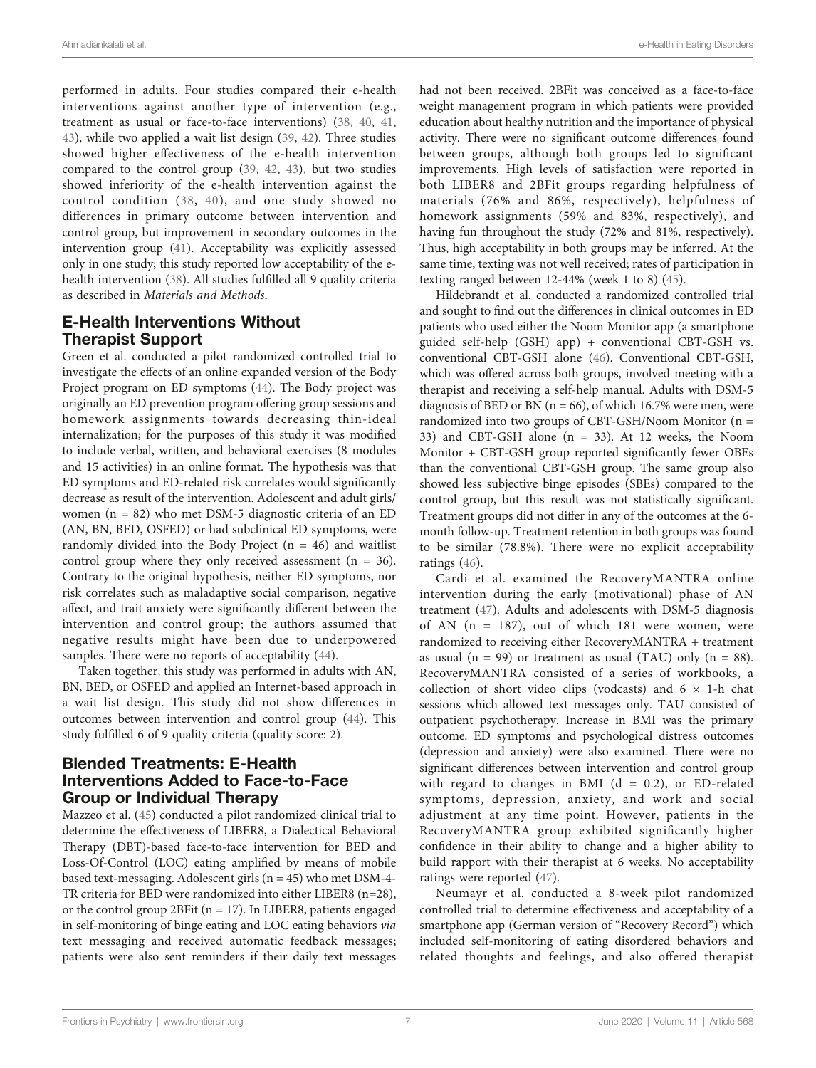performed in adults. Four studies compared their e-health interventions against another type of intervention (e.g., treatment as usual or face-to-face interventions) [\(38](#page-10-0), [40](#page-10-0), [41](#page-11-0), [43](#page-11-0)), while two applied a wait list design ([39,](#page-10-0) [42](#page-11-0)). Three studies showed higher effectiveness of the e-health intervention compared to the control group ([39,](#page-10-0) [42](#page-11-0), [43\)](#page-11-0), but two studies showed inferiority of the e-health intervention against the control condition ([38,](#page-10-0) [40\)](#page-10-0), and one study showed no differences in primary outcome between intervention and control group, but improvement in secondary outcomes in the intervention group [\(41](#page-11-0)). Acceptability was explicitly assessed only in one study; this study reported low acceptability of the ehealth intervention ([38](#page-10-0)). All studies fulfilled all 9 quality criteria as described in Materials and Methods.

#### E-Health Interventions Without Therapist Support

Green et al. conducted a pilot randomized controlled trial to investigate the effects of an online expanded version of the Body Project program on ED symptoms [\(44\)](#page-11-0). The Body project was originally an ED prevention program offering group sessions and homework assignments towards decreasing thin-ideal internalization; for the purposes of this study it was modified to include verbal, written, and behavioral exercises (8 modules and 15 activities) in an online format. The hypothesis was that ED symptoms and ED-related risk correlates would significantly decrease as result of the intervention. Adolescent and adult girls/ women (n = 82) who met DSM-5 diagnostic criteria of an ED (AN, BN, BED, OSFED) or had subclinical ED symptoms, were randomly divided into the Body Project  $(n = 46)$  and waitlist control group where they only received assessment  $(n = 36)$ . Contrary to the original hypothesis, neither ED symptoms, nor risk correlates such as maladaptive social comparison, negative affect, and trait anxiety were significantly different between the intervention and control group; the authors assumed that negative results might have been due to underpowered samples. There were no reports of acceptability [\(44\)](#page-11-0).

Taken together, this study was performed in adults with AN, BN, BED, or OSFED and applied an Internet-based approach in a wait list design. This study did not show differences in outcomes between intervention and control group [\(44\)](#page-11-0). This study fulfilled 6 of 9 quality criteria (quality score: 2).

#### Blended Treatments: E-Health Interventions Added to Face-to-Face Group or Individual Therapy

Mazzeo et al. [\(45](#page-11-0)) conducted a pilot randomized clinical trial to determine the effectiveness of LIBER8, a Dialectical Behavioral Therapy (DBT)-based face-to-face intervention for BED and Loss-Of-Control (LOC) eating amplified by means of mobile based text-messaging. Adolescent girls (n = 45) who met DSM-4- TR criteria for BED were randomized into either LIBER8 (n=28), or the control group 2BFit ( $n = 17$ ). In LIBER8, patients engaged in self-monitoring of binge eating and LOC eating behaviors via text messaging and received automatic feedback messages; patients were also sent reminders if their daily text messages

had not been received. 2BFit was conceived as a face-to-face weight management program in which patients were provided education about healthy nutrition and the importance of physical activity. There were no significant outcome differences found between groups, although both groups led to significant improvements. High levels of satisfaction were reported in both LIBER8 and 2BFit groups regarding helpfulness of materials (76% and 86%, respectively), helpfulness of homework assignments (59% and 83%, respectively), and having fun throughout the study (72% and 81%, respectively). Thus, high acceptability in both groups may be inferred. At the same time, texting was not well received; rates of participation in texting ranged between 12-44% (week 1 to 8) [\(45](#page-11-0)).

Hildebrandt et al. conducted a randomized controlled trial and sought to find out the differences in clinical outcomes in ED patients who used either the Noom Monitor app (a smartphone guided self-help (GSH) app) + conventional CBT-GSH vs. conventional CBT-GSH alone ([46\)](#page-11-0). Conventional CBT-GSH, which was offered across both groups, involved meeting with a therapist and receiving a self-help manual. Adults with DSM-5 diagnosis of BED or BN ( $n = 66$ ), of which 16.7% were men, were randomized into two groups of CBT-GSH/Noom Monitor (n = 33) and CBT-GSH alone (n = 33). At 12 weeks, the Noom Monitor + CBT-GSH group reported significantly fewer OBEs than the conventional CBT-GSH group. The same group also showed less subjective binge episodes (SBEs) compared to the control group, but this result was not statistically significant. Treatment groups did not differ in any of the outcomes at the 6 month follow-up. Treatment retention in both groups was found to be similar (78.8%). There were no explicit acceptability ratings [\(46](#page-11-0)).

Cardi et al. examined the RecoveryMANTRA online intervention during the early (motivational) phase of AN treatment [\(47](#page-11-0)). Adults and adolescents with DSM-5 diagnosis of AN  $(n = 187)$ , out of which 181 were women, were randomized to receiving either RecoveryMANTRA + treatment as usual ( $n = 99$ ) or treatment as usual (TAU) only ( $n = 88$ ). RecoveryMANTRA consisted of a series of workbooks, a collection of short video clips (vodcasts) and  $6 \times 1$ -h chat sessions which allowed text messages only. TAU consisted of outpatient psychotherapy. Increase in BMI was the primary outcome. ED symptoms and psychological distress outcomes (depression and anxiety) were also examined. There were no significant differences between intervention and control group with regard to changes in BMI ( $d = 0.2$ ), or ED-related symptoms, depression, anxiety, and work and social adjustment at any time point. However, patients in the RecoveryMANTRA group exhibited significantly higher confidence in their ability to change and a higher ability to build rapport with their therapist at 6 weeks. No acceptability ratings were reported [\(47](#page-11-0)).

Neumayr et al. conducted a 8-week pilot randomized controlled trial to determine effectiveness and acceptability of a smartphone app (German version of "Recovery Record") which included self-monitoring of eating disordered behaviors and related thoughts and feelings, and also offered therapist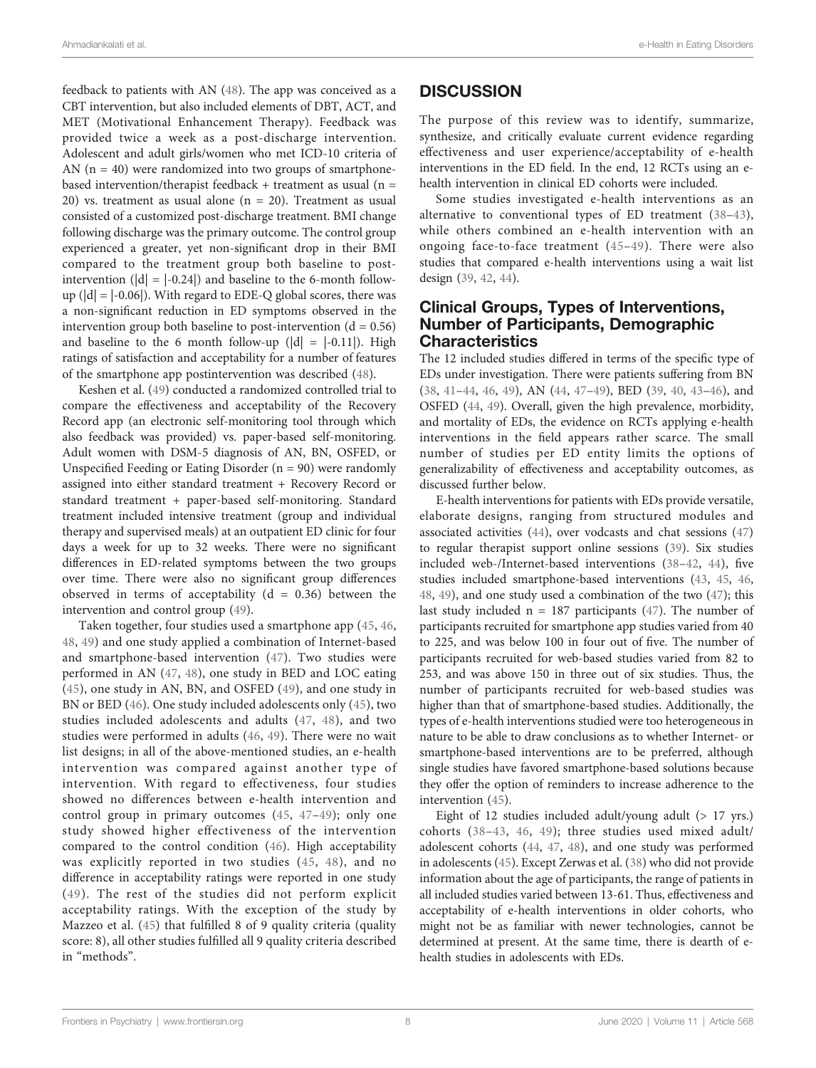feedback to patients with AN ([48\)](#page-11-0). The app was conceived as a CBT intervention, but also included elements of DBT, ACT, and MET (Motivational Enhancement Therapy). Feedback was provided twice a week as a post-discharge intervention. Adolescent and adult girls/women who met ICD-10 criteria of AN  $(n = 40)$  were randomized into two groups of smartphonebased intervention/therapist feedback + treatment as usual  $(n =$ 20) vs. treatment as usual alone ( $n = 20$ ). Treatment as usual consisted of a customized post-discharge treatment. BMI change following discharge was the primary outcome. The control group experienced a greater, yet non-significant drop in their BMI compared to the treatment group both baseline to postintervention  $(|d| = |-0.24|)$  and baseline to the 6-month followup  $(|d| = |-0.06|)$ . With regard to EDE-Q global scores, there was a non-significant reduction in ED symptoms observed in the intervention group both baseline to post-intervention  $(d = 0.56)$ and baseline to the 6 month follow-up  $(|d| = |-0.11|)$ . High ratings of satisfaction and acceptability for a number of features of the smartphone app postintervention was described [\(48](#page-11-0)).

Keshen et al. [\(49](#page-11-0)) conducted a randomized controlled trial to compare the effectiveness and acceptability of the Recovery Record app (an electronic self-monitoring tool through which also feedback was provided) vs. paper-based self-monitoring. Adult women with DSM-5 diagnosis of AN, BN, OSFED, or Unspecified Feeding or Eating Disorder  $(n = 90)$  were randomly assigned into either standard treatment + Recovery Record or standard treatment + paper-based self-monitoring. Standard treatment included intensive treatment (group and individual therapy and supervised meals) at an outpatient ED clinic for four days a week for up to 32 weeks. There were no significant differences in ED-related symptoms between the two groups over time. There were also no significant group differences observed in terms of acceptability  $(d = 0.36)$  between the intervention and control group ([49\)](#page-11-0).

Taken together, four studies used a smartphone app ([45](#page-11-0), [46](#page-11-0), [48,](#page-11-0) [49\)](#page-11-0) and one study applied a combination of Internet-based and smartphone-based intervention ([47\)](#page-11-0). Two studies were performed in AN [\(47,](#page-11-0) [48](#page-11-0)), one study in BED and LOC eating ([45](#page-11-0)), one study in AN, BN, and OSFED ([49](#page-11-0)), and one study in BN or BED ([46\)](#page-11-0). One study included adolescents only ([45](#page-11-0)), two studies included adolescents and adults [\(47,](#page-11-0) [48\)](#page-11-0), and two studies were performed in adults ([46,](#page-11-0) [49](#page-11-0)). There were no wait list designs; in all of the above-mentioned studies, an e-health intervention was compared against another type of intervention. With regard to effectiveness, four studies showed no differences between e-health intervention and control group in primary outcomes ([45](#page-11-0), [47](#page-11-0)–[49](#page-11-0)); only one study showed higher effectiveness of the intervention compared to the control condition ([46](#page-11-0)). High acceptability was explicitly reported in two studies ([45,](#page-11-0) [48](#page-11-0)), and no difference in acceptability ratings were reported in one study ([49](#page-11-0)). The rest of the studies did not perform explicit acceptability ratings. With the exception of the study by Mazzeo et al. [\(45](#page-11-0)) that fulfilled 8 of 9 quality criteria (quality score: 8), all other studies fulfilled all 9 quality criteria described in "methods".

#### **DISCUSSION**

The purpose of this review was to identify, summarize, synthesize, and critically evaluate current evidence regarding effectiveness and user experience/acceptability of e-health interventions in the ED field. In the end, 12 RCTs using an ehealth intervention in clinical ED cohorts were included.

Some studies investigated e-health interventions as an alternative to conventional types of ED treatment ([38](#page-10-0)–[43](#page-11-0)), while others combined an e-health intervention with an ongoing face-to-face treatment ([45](#page-11-0)–[49](#page-11-0)). There were also studies that compared e-health interventions using a wait list design ([39,](#page-10-0) [42,](#page-11-0) [44\)](#page-11-0).

#### Clinical Groups, Types of Interventions, Number of Participants, Demographic **Characteristics**

The 12 included studies differed in terms of the specific type of EDs under investigation. There were patients suffering from BN [\(38,](#page-10-0) [41](#page-11-0)–[44,](#page-11-0) [46](#page-11-0), [49\)](#page-11-0), AN ([44,](#page-11-0) [47](#page-11-0)–[49](#page-11-0)), BED [\(39](#page-10-0), [40,](#page-10-0) [43](#page-11-0)–[46](#page-11-0)), and OSFED [\(44](#page-11-0), [49\)](#page-11-0). Overall, given the high prevalence, morbidity, and mortality of EDs, the evidence on RCTs applying e-health interventions in the field appears rather scarce. The small number of studies per ED entity limits the options of generalizability of effectiveness and acceptability outcomes, as discussed further below.

E-health interventions for patients with EDs provide versatile, elaborate designs, ranging from structured modules and associated activities [\(44](#page-11-0)), over vodcasts and chat sessions ([47\)](#page-11-0) to regular therapist support online sessions ([39\)](#page-10-0). Six studies included web-/Internet-based interventions [\(38](#page-10-0)–[42,](#page-11-0) [44](#page-11-0)), five studies included smartphone-based interventions [\(43](#page-11-0), [45](#page-11-0), [46,](#page-11-0) [48](#page-11-0), [49](#page-11-0)), and one study used a combination of the two ([47\)](#page-11-0); this last study included  $n = 187$  participants ([47\)](#page-11-0). The number of participants recruited for smartphone app studies varied from 40 to 225, and was below 100 in four out of five. The number of participants recruited for web-based studies varied from 82 to 253, and was above 150 in three out of six studies. Thus, the number of participants recruited for web-based studies was higher than that of smartphone-based studies. Additionally, the types of e-health interventions studied were too heterogeneous in nature to be able to draw conclusions as to whether Internet- or smartphone-based interventions are to be preferred, although single studies have favored smartphone-based solutions because they offer the option of reminders to increase adherence to the intervention ([45](#page-11-0)).

Eight of 12 studies included adult/young adult (> 17 yrs.) cohorts ([38](#page-10-0)–[43](#page-11-0), [46](#page-11-0), [49](#page-11-0)); three studies used mixed adult/ adolescent cohorts ([44,](#page-11-0) [47,](#page-11-0) [48](#page-11-0)), and one study was performed in adolescents ([45](#page-11-0)). Except Zerwas et al. [\(38\)](#page-10-0) who did not provide information about the age of participants, the range of patients in all included studies varied between 13-61. Thus, effectiveness and acceptability of e-health interventions in older cohorts, who might not be as familiar with newer technologies, cannot be determined at present. At the same time, there is dearth of ehealth studies in adolescents with EDs.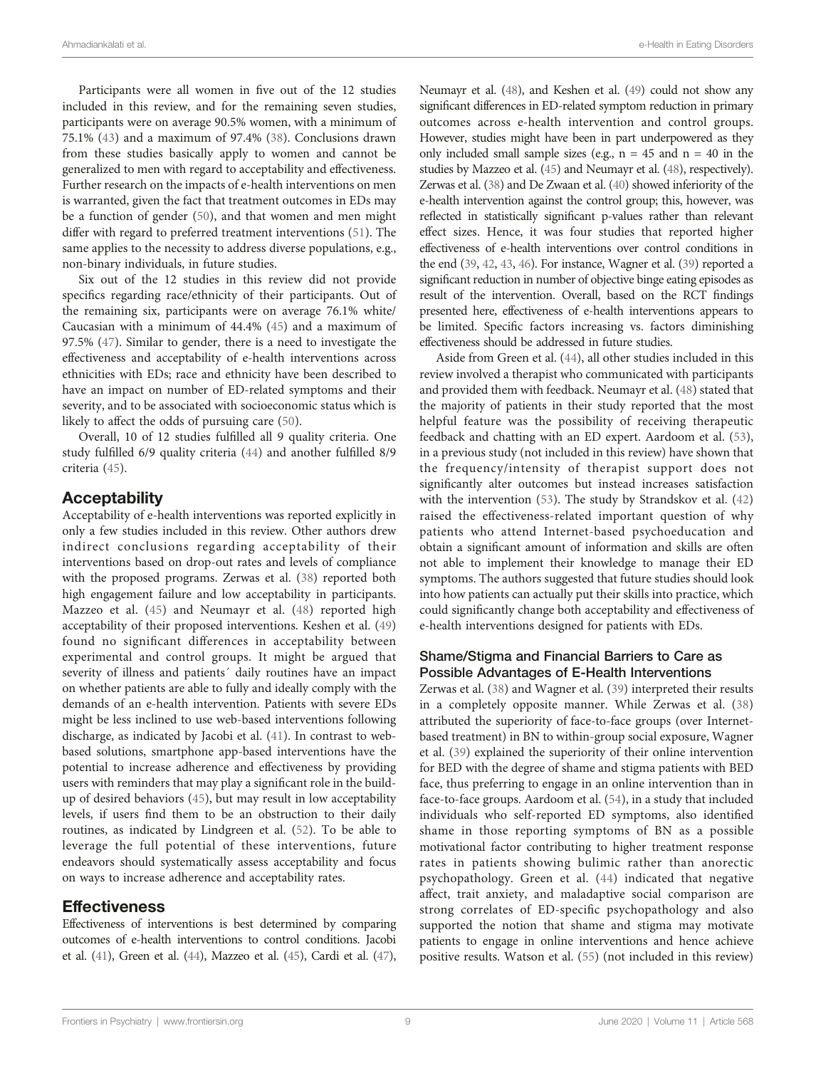Participants were all women in five out of the 12 studies included in this review, and for the remaining seven studies, participants were on average 90.5% women, with a minimum of 75.1% ([43\)](#page-11-0) and a maximum of 97.4% [\(38\)](#page-10-0). Conclusions drawn from these studies basically apply to women and cannot be generalized to men with regard to acceptability and effectiveness. Further research on the impacts of e-health interventions on men is warranted, given the fact that treatment outcomes in EDs may be a function of gender ([50\)](#page-11-0), and that women and men might differ with regard to preferred treatment interventions [\(51](#page-11-0)). The same applies to the necessity to address diverse populations, e.g., non-binary individuals, in future studies.

Six out of the 12 studies in this review did not provide specifics regarding race/ethnicity of their participants. Out of the remaining six, participants were on average 76.1% white/ Caucasian with a minimum of 44.4% ([45\)](#page-11-0) and a maximum of 97.5% ([47\)](#page-11-0). Similar to gender, there is a need to investigate the effectiveness and acceptability of e-health interventions across ethnicities with EDs; race and ethnicity have been described to have an impact on number of ED-related symptoms and their severity, and to be associated with socioeconomic status which is likely to affect the odds of pursuing care ([50](#page-11-0)).

Overall, 10 of 12 studies fulfilled all 9 quality criteria. One study fulfilled 6/9 quality criteria [\(44](#page-11-0)) and another fulfilled 8/9 criteria [\(45](#page-11-0)).

#### **Acceptability**

Acceptability of e-health interventions was reported explicitly in only a few studies included in this review. Other authors drew indirect conclusions regarding acceptability of their interventions based on drop-out rates and levels of compliance with the proposed programs. Zerwas et al. ([38\)](#page-10-0) reported both high engagement failure and low acceptability in participants. Mazzeo et al. [\(45](#page-11-0)) and Neumayr et al. [\(48\)](#page-11-0) reported high acceptability of their proposed interventions. Keshen et al. ([49\)](#page-11-0) found no significant differences in acceptability between experimental and control groups. It might be argued that severity of illness and patients´ daily routines have an impact on whether patients are able to fully and ideally comply with the demands of an e-health intervention. Patients with severe EDs might be less inclined to use web-based interventions following discharge, as indicated by Jacobi et al. ([41\)](#page-11-0). In contrast to webbased solutions, smartphone app-based interventions have the potential to increase adherence and effectiveness by providing users with reminders that may play a significant role in the buildup of desired behaviors [\(45](#page-11-0)), but may result in low acceptability levels, if users find them to be an obstruction to their daily routines, as indicated by Lindgreen et al. [\(52](#page-11-0)). To be able to leverage the full potential of these interventions, future endeavors should systematically assess acceptability and focus on ways to increase adherence and acceptability rates.

#### Effectiveness

Effectiveness of interventions is best determined by comparing outcomes of e-health interventions to control conditions. Jacobi et al. ([41](#page-11-0)), Green et al. [\(44\)](#page-11-0), Mazzeo et al. [\(45\)](#page-11-0), Cardi et al. [\(47\)](#page-11-0), Neumayr et al. [\(48\)](#page-11-0), and Keshen et al. [\(49\)](#page-11-0) could not show any significant differences in ED-related symptom reduction in primary outcomes across e-health intervention and control groups. However, studies might have been in part underpowered as they only included small sample sizes (e.g.,  $n = 45$  and  $n = 40$  in the studies by Mazzeo et al. [\(45](#page-11-0)) and Neumayr et al. [\(48\)](#page-11-0), respectively). Zerwas et al. [\(38\)](#page-10-0) and De Zwaan et al. [\(40](#page-10-0)) showed inferiority of the e-health intervention against the control group; this, however, was reflected in statistically significant p-values rather than relevant effect sizes. Hence, it was four studies that reported higher effectiveness of e-health interventions over control conditions in the end [\(39,](#page-10-0) [42,](#page-11-0) [43](#page-11-0), [46](#page-11-0)). For instance, Wagner et al. [\(39\)](#page-10-0) reported a significant reduction in number of objective binge eating episodes as result of the intervention. Overall, based on the RCT findings presented here, effectiveness of e-health interventions appears to be limited. Specific factors increasing vs. factors diminishing effectiveness should be addressed in future studies.

Aside from Green et al. ([44](#page-11-0)), all other studies included in this review involved a therapist who communicated with participants and provided them with feedback. Neumayr et al. [\(48](#page-11-0)) stated that the majority of patients in their study reported that the most helpful feature was the possibility of receiving therapeutic feedback and chatting with an ED expert. Aardoom et al. [\(53\)](#page-11-0), in a previous study (not included in this review) have shown that the frequency/intensity of therapist support does not significantly alter outcomes but instead increases satisfaction with the intervention ([53\)](#page-11-0). The study by Strandskov et al. ([42\)](#page-11-0) raised the effectiveness-related important question of why patients who attend Internet-based psychoeducation and obtain a significant amount of information and skills are often not able to implement their knowledge to manage their ED symptoms. The authors suggested that future studies should look into how patients can actually put their skills into practice, which could significantly change both acceptability and effectiveness of e-health interventions designed for patients with EDs.

#### Shame/Stigma and Financial Barriers to Care as Possible Advantages of E-Health Interventions

Zerwas et al. ([38](#page-10-0)) and Wagner et al. [\(39](#page-10-0)) interpreted their results in a completely opposite manner. While Zerwas et al. [\(38\)](#page-10-0) attributed the superiority of face-to-face groups (over Internetbased treatment) in BN to within-group social exposure, Wagner et al. ([39](#page-10-0)) explained the superiority of their online intervention for BED with the degree of shame and stigma patients with BED face, thus preferring to engage in an online intervention than in face-to-face groups. Aardoom et al. [\(54](#page-11-0)), in a study that included individuals who self-reported ED symptoms, also identified shame in those reporting symptoms of BN as a possible motivational factor contributing to higher treatment response rates in patients showing bulimic rather than anorectic psychopathology. Green et al. ([44\)](#page-11-0) indicated that negative affect, trait anxiety, and maladaptive social comparison are strong correlates of ED-specific psychopathology and also supported the notion that shame and stigma may motivate patients to engage in online interventions and hence achieve positive results. Watson et al. ([55\)](#page-11-0) (not included in this review)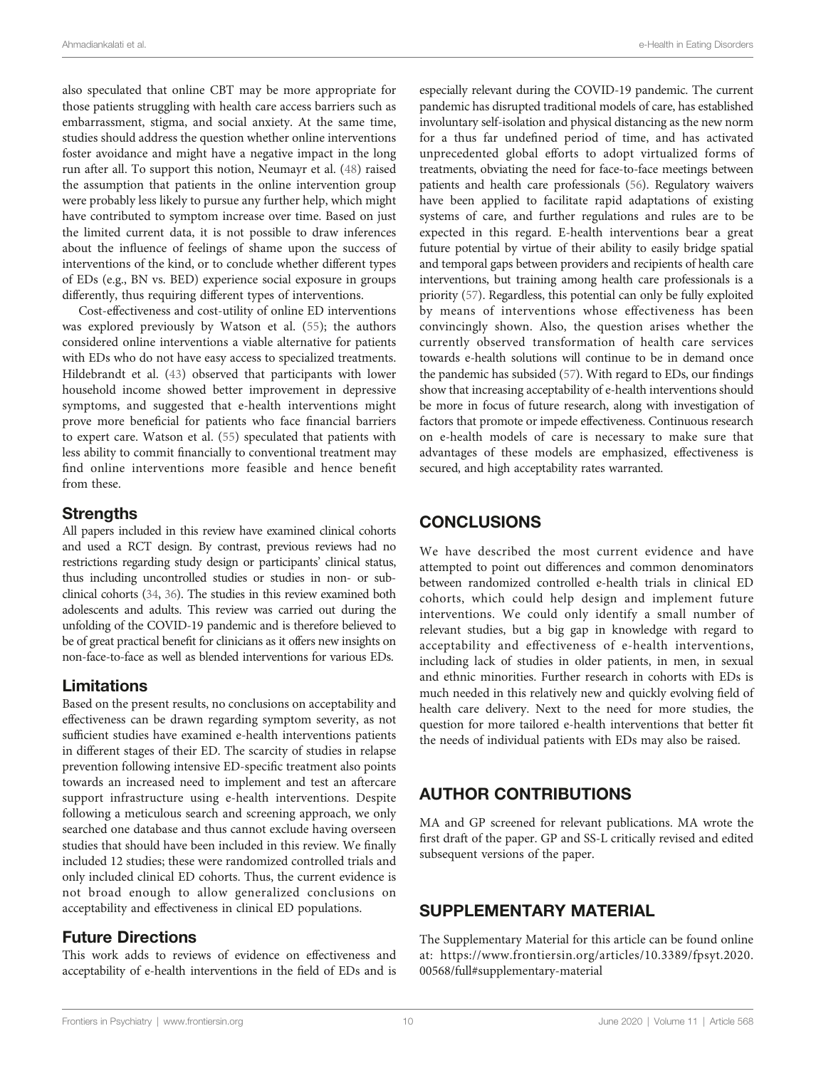<span id="page-9-0"></span>also speculated that online CBT may be more appropriate for those patients struggling with health care access barriers such as embarrassment, stigma, and social anxiety. At the same time, studies should address the question whether online interventions foster avoidance and might have a negative impact in the long run after all. To support this notion, Neumayr et al. [\(48\)](#page-11-0) raised the assumption that patients in the online intervention group were probably less likely to pursue any further help, which might have contributed to symptom increase over time. Based on just the limited current data, it is not possible to draw inferences about the influence of feelings of shame upon the success of interventions of the kind, or to conclude whether different types of EDs (e.g., BN vs. BED) experience social exposure in groups differently, thus requiring different types of interventions.

Cost-effectiveness and cost-utility of online ED interventions was explored previously by Watson et al. ([55](#page-11-0)); the authors considered online interventions a viable alternative for patients with EDs who do not have easy access to specialized treatments. Hildebrandt et al. ([43\)](#page-11-0) observed that participants with lower household income showed better improvement in depressive symptoms, and suggested that e-health interventions might prove more beneficial for patients who face financial barriers to expert care. Watson et al. [\(55](#page-11-0)) speculated that patients with less ability to commit financially to conventional treatment may find online interventions more feasible and hence benefit from these.

#### **Strengths**

All papers included in this review have examined clinical cohorts and used a RCT design. By contrast, previous reviews had no restrictions regarding study design or participants' clinical status, thus including uncontrolled studies or studies in non- or subclinical cohorts ([34](#page-10-0), [36\)](#page-10-0). The studies in this review examined both adolescents and adults. This review was carried out during the unfolding of the COVID-19 pandemic and is therefore believed to be of great practical benefit for clinicians as it offers new insights on non-face-to-face as well as blended interventions for various EDs.

#### Limitations

Based on the present results, no conclusions on acceptability and effectiveness can be drawn regarding symptom severity, as not sufficient studies have examined e-health interventions patients in different stages of their ED. The scarcity of studies in relapse prevention following intensive ED-specific treatment also points towards an increased need to implement and test an aftercare support infrastructure using e-health interventions. Despite following a meticulous search and screening approach, we only searched one database and thus cannot exclude having overseen studies that should have been included in this review. We finally included 12 studies; these were randomized controlled trials and only included clinical ED cohorts. Thus, the current evidence is not broad enough to allow generalized conclusions on acceptability and effectiveness in clinical ED populations.

#### Future Directions

This work adds to reviews of evidence on effectiveness and acceptability of e-health interventions in the field of EDs and is

especially relevant during the COVID-19 pandemic. The current pandemic has disrupted traditional models of care, has established involuntary self-isolation and physical distancing as the new norm for a thus far undefined period of time, and has activated unprecedented global efforts to adopt virtualized forms of treatments, obviating the need for face-to-face meetings between patients and health care professionals ([56](#page-11-0)). Regulatory waivers have been applied to facilitate rapid adaptations of existing systems of care, and further regulations and rules are to be expected in this regard. E-health interventions bear a great future potential by virtue of their ability to easily bridge spatial and temporal gaps between providers and recipients of health care interventions, but training among health care professionals is a priority [\(57\)](#page-11-0). Regardless, this potential can only be fully exploited by means of interventions whose effectiveness has been convincingly shown. Also, the question arises whether the currently observed transformation of health care services towards e-health solutions will continue to be in demand once the pandemic has subsided [\(57](#page-11-0)). With regard to EDs, our findings show that increasing acceptability of e-health interventions should be more in focus of future research, along with investigation of factors that promote or impede effectiveness. Continuous research on e-health models of care is necessary to make sure that advantages of these models are emphasized, effectiveness is secured, and high acceptability rates warranted.

## **CONCLUSIONS**

We have described the most current evidence and have attempted to point out differences and common denominators between randomized controlled e-health trials in clinical ED cohorts, which could help design and implement future interventions. We could only identify a small number of relevant studies, but a big gap in knowledge with regard to acceptability and effectiveness of e-health interventions, including lack of studies in older patients, in men, in sexual and ethnic minorities. Further research in cohorts with EDs is much needed in this relatively new and quickly evolving field of health care delivery. Next to the need for more studies, the question for more tailored e-health interventions that better fit the needs of individual patients with EDs may also be raised.

## AUTHOR CONTRIBUTIONS

MA and GP screened for relevant publications. MA wrote the first draft of the paper. GP and SS-L critically revised and edited subsequent versions of the paper.

## SUPPLEMENTARY MATERIAL

The Supplementary Material for this article can be found online at: [https://www.frontiersin.org/articles/10.3389/fpsyt.2020.](https://www.frontiersin.org/articles/10.3389/fpsyt.2020.00568/full#supplementary-material) [00568/full#supplementary-material](https://www.frontiersin.org/articles/10.3389/fpsyt.2020.00568/full#supplementary-material)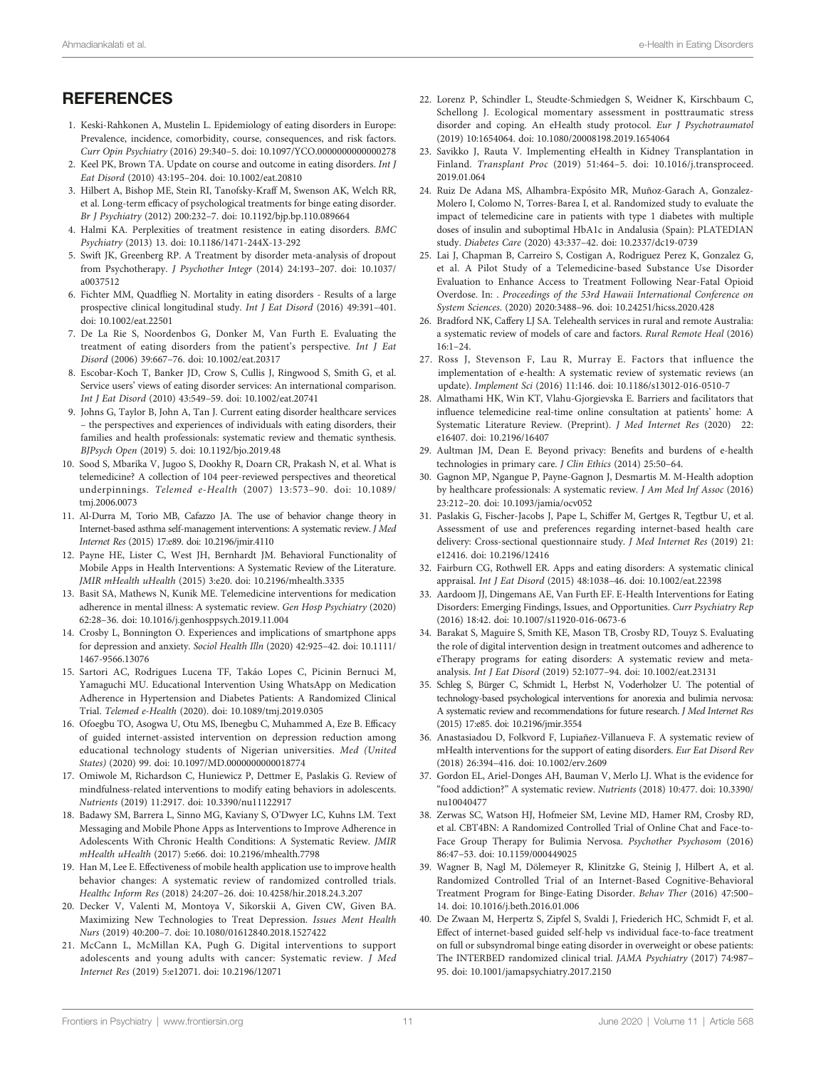### <span id="page-10-0"></span>**REFERENCES**

- 1. Keski-Rahkonen A, Mustelin L. Epidemiology of eating disorders in Europe: Prevalence, incidence, comorbidity, course, consequences, and risk factors. Curr Opin Psychiatry (2016) 29:340–5. doi: [10.1097/YCO.0000000000000278](https://doi.org/10.1097/YCO.0000000000000278)
- 2. Keel PK, Brown TA. Update on course and outcome in eating disorders. Int J Eat Disord (2010) 43:195–204. doi: [10.1002/eat.20810](https://doi.org/10.1002/eat.20810)
- 3. Hilbert A, Bishop ME, Stein RI, Tanofsky-Kraff M, Swenson AK, Welch RR, et al. Long-term efficacy of psychological treatments for binge eating disorder. Br J Psychiatry (2012) 200:232–7. doi: [10.1192/bjp.bp.110.089664](https://doi.org/10.1192/bjp.bp.110.089664)
- 4. Halmi KA. Perplexities of treatment resistence in eating disorders. BMC Psychiatry (2013) 13. doi: [10.1186/1471-244X-13-292](https://doi.org/10.1186/1471-244X-13-292)
- 5. Swift JK, Greenberg RP. A Treatment by disorder meta-analysis of dropout from Psychotherapy. J Psychother Integr (2014) 24:193–207. doi: [10.1037/](https://doi.org/10.1037/a0037512) [a0037512](https://doi.org/10.1037/a0037512)
- 6. Fichter MM, Quadflieg N. Mortality in eating disorders Results of a large prospective clinical longitudinal study. Int J Eat Disord (2016) 49:391–401. doi: [10.1002/eat.22501](https://doi.org/10.1002/eat.22501)
- 7. De La Rie S, Noordenbos G, Donker M, Van Furth E. Evaluating the treatment of eating disorders from the patient's perspective. Int J Eat Disord (2006) 39:667–76. doi: [10.1002/eat.20317](https://doi.org/10.1002/eat.20317)
- 8. Escobar-Koch T, Banker JD, Crow S, Cullis J, Ringwood S, Smith G, et al. Service users' views of eating disorder services: An international comparison. Int J Eat Disord (2010) 43:549–59. doi: [10.1002/eat.20741](https://doi.org/10.1002/eat.20741)
- 9. Johns G, Taylor B, John A, Tan J. Current eating disorder healthcare services – the perspectives and experiences of individuals with eating disorders, their families and health professionals: systematic review and thematic synthesis. BJPsych Open (2019) 5. doi: [10.1192/bjo.2019.48](https://doi.org/10.1192/bjo.2019.48)
- 10. Sood S, Mbarika V, Jugoo S, Dookhy R, Doarn CR, Prakash N, et al. What is telemedicine? A collection of 104 peer-reviewed perspectives and theoretical underpinnings. Telemed e-Health (2007) 13:573–90. doi: [10.1089/](https://doi.org/10.1089/tmj.2006.0073) [tmj.2006.0073](https://doi.org/10.1089/tmj.2006.0073)
- 11. Al-Durra M, Torio MB, Cafazzo JA. The use of behavior change theory in Internet-based asthma self-management interventions: A systematic review. J Med Internet Res (2015) 17:e89. doi: [10.2196/jmir.4110](https://doi.org/10.2196/jmir.4110)
- 12. Payne HE, Lister C, West JH, Bernhardt JM. Behavioral Functionality of Mobile Apps in Health Interventions: A Systematic Review of the Literature. JMIR mHealth uHealth (2015) 3:e20. doi: [10.2196/mhealth.3335](https://doi.org/10.2196/mhealth.3335)
- 13. Basit SA, Mathews N, Kunik ME. Telemedicine interventions for medication adherence in mental illness: A systematic review. Gen Hosp Psychiatry (2020) 62:28–36. doi: [10.1016/j.genhosppsych.2019.11.004](https://doi.org/10.1016/j.genhosppsych.2019.11.004)
- 14. Crosby L, Bonnington O. Experiences and implications of smartphone apps for depression and anxiety. Sociol Health Illn (2020) 42:925–42. doi: [10.1111/](https://doi.org/10.1111/1467-9566.13076) [1467-9566.13076](https://doi.org/10.1111/1467-9566.13076)
- 15. Sartori AC, Rodrigues Lucena TF, Takáo Lopes C, Picinin Bernuci M, Yamaguchi MU. Educational Intervention Using WhatsApp on Medication Adherence in Hypertension and Diabetes Patients: A Randomized Clinical Trial. Telemed e-Health (2020). doi: [10.1089/tmj.2019.0305](https://doi.org/10.1089/tmj.2019.0305)
- 16. Ofoegbu TO, Asogwa U, Otu MS, Ibenegbu C, Muhammed A, Eze B. Efficacy of guided internet-assisted intervention on depression reduction among educational technology students of Nigerian universities. Med (United States) (2020) 99. doi: [10.1097/MD.0000000000018774](https://doi.org/10.1097/MD.0000000000018774)
- 17. Omiwole M, Richardson C, Huniewicz P, Dettmer E, Paslakis G. Review of mindfulness-related interventions to modify eating behaviors in adolescents. Nutrients (2019) 11:2917. doi: [10.3390/nu11122917](https://doi.org/10.3390/nu11122917)
- 18. Badawy SM, Barrera L, Sinno MG, Kaviany S, O'Dwyer LC, Kuhns LM. Text Messaging and Mobile Phone Apps as Interventions to Improve Adherence in Adolescents With Chronic Health Conditions: A Systematic Review. JMIR mHealth uHealth (2017) 5:e66. doi: [10.2196/mhealth.7798](https://doi.org/10.2196/mhealth.7798)
- 19. Han M, Lee E. Effectiveness of mobile health application use to improve health behavior changes: A systematic review of randomized controlled trials. Healthc Inform Res (2018) 24:207–26. doi: [10.4258/hir.2018.24.3.207](https://doi.org/10.4258/hir.2018.24.3.207)
- 20. Decker V, Valenti M, Montoya V, Sikorskii A, Given CW, Given BA. Maximizing New Technologies to Treat Depression. Issues Ment Health Nurs (2019) 40:200–7. doi: [10.1080/01612840.2018.1527422](https://doi.org/10.1080/01612840.2018.1527422)
- 21. McCann L, McMillan KA, Pugh G. Digital interventions to support adolescents and young adults with cancer: Systematic review. J Med Internet Res (2019) 5:e12071. doi: [10.2196/12071](https://doi.org/10.2196/12071)
- 22. Lorenz P, Schindler L, Steudte-Schmiedgen S, Weidner K, Kirschbaum C, Schellong J. Ecological momentary assessment in posttraumatic stress disorder and coping. An eHealth study protocol. Eur J Psychotraumatol (2019) 10:1654064. doi: [10.1080/20008198.2019.1654064](https://doi.org/10.1080/20008198.2019.1654064)
- 23. Savikko J, Rauta V. Implementing eHealth in Kidney Transplantation in Finland. Transplant Proc (2019) 51:464–5. doi: [10.1016/j.transproceed.](https://doi.org/10.1016/j.transproceed.2019.01.064) [2019.01.064](https://doi.org/10.1016/j.transproceed.2019.01.064)
- 24. Ruiz De Adana MS, Alhambra-Expósito MR, Muñoz-Garach A, Gonzalez-Molero I, Colomo N, Torres-Barea I, et al. Randomized study to evaluate the impact of telemedicine care in patients with type 1 diabetes with multiple doses of insulin and suboptimal HbA1c in Andalusia (Spain): PLATEDIAN study. Diabetes Care (2020) 43:337–42. doi: [10.2337/dc19-0739](https://doi.org/10.2337/dc19-0739)
- 25. Lai J, Chapman B, Carreiro S, Costigan A, Rodriguez Perez K, Gonzalez G, et al. A Pilot Study of a Telemedicine-based Substance Use Disorder Evaluation to Enhance Access to Treatment Following Near-Fatal Opioid Overdose. In: . Proceedings of the 53rd Hawaii International Conference on System Sciences. (2020) 2020:3488–96. doi: [10.24251/hicss.2020.428](https://doi.org/10.24251/hicss.2020.428)
- 26. Bradford NK, Caffery LJ SA. Telehealth services in rural and remote Australia: a systematic review of models of care and factors. Rural Remote Heal (2016)  $16:1 - 24$
- 27. Ross J, Stevenson F, Lau R, Murray E. Factors that influence the implementation of e-health: A systematic review of systematic reviews (an update). Implement Sci (2016) 11:146. doi: [10.1186/s13012-016-0510-7](https://doi.org/10.1186/s13012-016-0510-7)
- 28. Almathami HK, Win KT, Vlahu-Gjorgievska E. Barriers and facilitators that influence telemedicine real-time online consultation at patients' home: A Systematic Literature Review. (Preprint). J Med Internet Res (2020) 22: e16407. doi: [10.2196/16407](https://doi.org/10.2196/16407)
- 29. Aultman JM, Dean E. Beyond privacy: Benefits and burdens of e-health technologies in primary care. J Clin Ethics (2014) 25:50–64.
- 30. Gagnon MP, Ngangue P, Payne-Gagnon J, Desmartis M. M-Health adoption by healthcare professionals: A systematic review. J Am Med Inf Assoc (2016) 23:212–20. doi: [10.1093/jamia/ocv052](https://doi.org/10.1093/jamia/ocv052)
- 31. Paslakis G, Fischer-Jacobs J, Pape L, Schiffer M, Gertges R, Tegtbur U, et al. Assessment of use and preferences regarding internet-based health care delivery: Cross-sectional questionnaire study. J Med Internet Res (2019) 21: e12416. doi: [10.2196/12416](https://doi.org/10.2196/12416)
- 32. Fairburn CG, Rothwell ER. Apps and eating disorders: A systematic clinical appraisal. Int J Eat Disord (2015) 48:1038–46. doi: [10.1002/eat.22398](https://doi.org/10.1002/eat.22398)
- 33. Aardoom JJ, Dingemans AE, Van Furth EF. E-Health Interventions for Eating Disorders: Emerging Findings, Issues, and Opportunities. Curr Psychiatry Rep (2016) 18:42. doi: [10.1007/s11920-016-0673-6](https://doi.org/10.1007/s11920-016-0673-6)
- 34. Barakat S, Maguire S, Smith KE, Mason TB, Crosby RD, Touyz S. Evaluating the role of digital intervention design in treatment outcomes and adherence to eTherapy programs for eating disorders: A systematic review and metaanalysis. Int J Eat Disord (2019) 52:1077–94. doi: [10.1002/eat.23131](https://doi.org/10.1002/eat.23131)
- 35. Schleg S, Bürger C, Schmidt L, Herbst N, Voderholzer U. The potential of technology-based psychological interventions for anorexia and bulimia nervosa: A systematic review and recommendations for future research. J Med Internet Res (2015) 17:e85. doi: [10.2196/jmir.3554](https://doi.org/10.2196/jmir.3554)
- 36. Anastasiadou D, Folkvord F, Lupiañez-Villanueva F. A systematic review of mHealth interventions for the support of eating disorders. Eur Eat Disord Rev (2018) 26:394–416. doi: [10.1002/erv.2609](https://doi.org/10.1002/erv.2609)
- 37. Gordon EL, Ariel-Donges AH, Bauman V, Merlo LJ. What is the evidence for "food addiction?" A systematic review. Nutrients (2018) 10:477. doi: [10.3390/](https://doi.org/10.3390/nu10040477) [nu10040477](https://doi.org/10.3390/nu10040477)
- 38. Zerwas SC, Watson HJ, Hofmeier SM, Levine MD, Hamer RM, Crosby RD, et al. CBT4BN: A Randomized Controlled Trial of Online Chat and Face-to-Face Group Therapy for Bulimia Nervosa. Psychother Psychosom (2016) 86:47–53. doi: [10.1159/000449025](https://doi.org/10.1159/000449025)
- 39. Wagner B, Nagl M, Dölemeyer R, Klinitzke G, Steinig J, Hilbert A, et al. Randomized Controlled Trial of an Internet-Based Cognitive-Behavioral Treatment Program for Binge-Eating Disorder. Behav Ther (2016) 47:500– 14. doi: [10.1016/j.beth.2016.01.006](https://doi.org/10.1016/j.beth.2016.01.006)
- 40. De Zwaan M, Herpertz S, Zipfel S, Svaldi J, Friederich HC, Schmidt F, et al. Effect of internet-based guided self-help vs individual face-to-face treatment on full or subsyndromal binge eating disorder in overweight or obese patients: The INTERBED randomized clinical trial. JAMA Psychiatry (2017) 74:987– 95. doi: [10.1001/jamapsychiatry.2017.2150](https://doi.org/10.1001/jamapsychiatry.2017.2150)